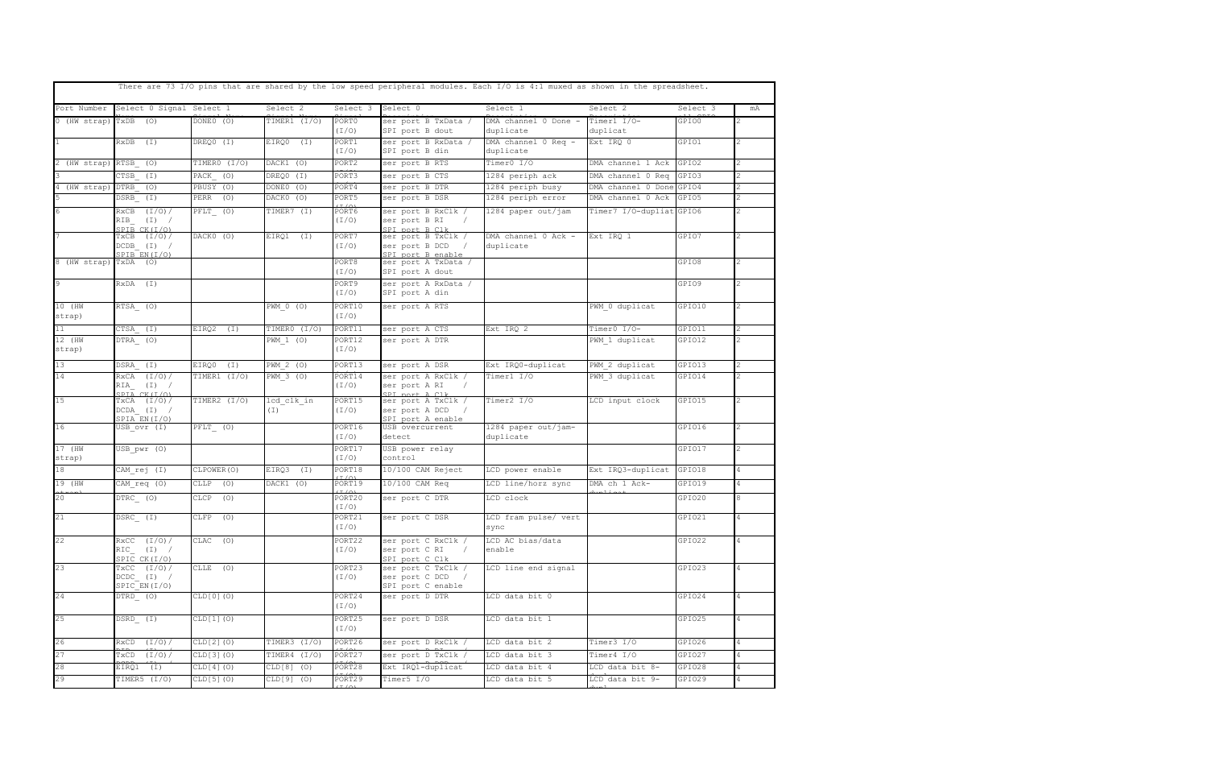|                  |                                                         |                                                               |                               |                               | There are 73 I/O pins that are shared by the low speed peripheral modules. Each I/O is 4:1 muxed as shown in the spreadsheet. |                                   |                          |          |    |  |
|------------------|---------------------------------------------------------|---------------------------------------------------------------|-------------------------------|-------------------------------|-------------------------------------------------------------------------------------------------------------------------------|-----------------------------------|--------------------------|----------|----|--|
| Port Number      | Select 0 Signal Select 1                                |                                                               | Select <sub>2</sub>           | Select 3                      | Select 0                                                                                                                      | Select 1                          | Select 2                 | Select 3 | mA |  |
| 0 (HW strap)     | $TxDB$ (O)                                              | DONE0 (O)                                                     | TIMER1 (I/O)                  | PORT0<br>(I/O)                | ser port B TxData /<br>SPI port B dout                                                                                        | DMA channel 0 Done -<br>duplicate | Timer1 I/O-<br>duplicat  | GPIO0    |    |  |
|                  | RxDB<br>(I)                                             | DREQ0 (I)                                                     | EIRQ0<br>(I)                  | PORT1<br>(I/O)                | ser port B RxData /<br>SPI port B din                                                                                         | DMA channel 0 Req -<br>duplicate  | Ext IRO 0                | GPIO1    |    |  |
| 2 (HW strap)     | RTSB (O)                                                | TIMERO (I/O)                                                  | DACK1 (O)                     | PORT2                         | ser port B RTS                                                                                                                | Timer0 I/O                        | DMA channel 1 Ack        | GPIO2    |    |  |
|                  | CTSB (I)                                                | PACK (O)                                                      | DREQ0 (I)                     | PORT3                         | ser port B CTS                                                                                                                | 1284 periph ack                   | DMA channel 0 Req        | GPIO3    |    |  |
| 4 (HW strap)     | DTRB<br>(O)                                             | PBUSY (O)                                                     | DONE0 (O)                     | PORT4                         | ser port B DTR                                                                                                                | 1284 periph busy                  | DMA channel 0 Done       | GPIO4    |    |  |
|                  | $DSRB$ $(I)$                                            | PERR (O)                                                      | DACKO (O)                     | PORT5                         | ser port B DSR                                                                                                                | 1284 periph error                 | DMA channel 0 Ack        | GPIO5    |    |  |
| 6                | $RxCB$ $(I/0)/$<br>$RIB$ $(I)$ /<br>SPIB CK (T/O)       | $\begin{array}{ccc} \texttt{PFLT} & \texttt{(O)} \end{array}$ | TIMER7 (I)                    | PORT6<br>(I/O)                | ser port B RxClk /<br>ser port B RI<br>SPI port B Clk                                                                         | 1284 paper out/jam                | Timer7 I/O-dupliat GPIO6 |          |    |  |
|                  | $TXCB$ $(I/O) /$<br>$DCDB$ $(I)$ /<br>SPIB EN(I/O)      | DACK0 (O)                                                     | EIRQ1<br>(I)                  | PORT7<br>(I/O)                | ser port B TxClk /<br>ser port B DCD<br>SPI port B enable                                                                     | DMA channel 0 Ack -<br>duplicate  | Ext IRO 1                | GPIO7    |    |  |
| 8 (HW strap)     | $TxDA$ (0)                                              |                                                               |                               | PORT8<br>(I/O)                | ser port A TxData /<br>SPI port A dout                                                                                        |                                   |                          | GPIO8    |    |  |
| $\overline{9}$   | RxDA (I)                                                |                                                               |                               | PORT9<br>(I/O)                | ser port A RxData /<br>SPI port A din                                                                                         |                                   |                          | GPIO9    |    |  |
| 10 (HW<br>strap) | RTSA (O)                                                |                                                               | PWM 0 (0)                     | PORT10<br>(I/O)               | ser port A RTS                                                                                                                |                                   | PWM 0 duplicat           | GPIO10   |    |  |
| 11               | CTSA (I)                                                | EIRQ2<br>(I)                                                  | TIMERO (I/O)                  | PORT11                        | ser port A CTS                                                                                                                | Ext IRO 2                         | Timer0 I/O-              | GPIO11   |    |  |
| 12 (HW<br>strap) | DTRA (O)                                                |                                                               | PWM 1 (0)                     | PORT12<br>(I/O)               | ser port A DTR                                                                                                                |                                   | PWM 1 duplicat           | GPIO12   |    |  |
| 13               | DSRA (I)                                                | EIRQ0<br>$(\lceil )$                                          | PWM 2 (0)                     | PORT13                        | ser port A DSR                                                                                                                | Ext IRQ0-duplicat                 | PWM 2 duplicat           | GPIO13   |    |  |
| 14               | $RxCA$ $(I/0)/$<br>$RIA$ $(I)$ /<br>SPIA CK (T/O)       | TIMER1 (I/O)                                                  | PWM 3 (O)                     | PORT14<br>(I/O)               | ser port A RxClk /<br>ser port A RI<br>SPI port & Clk                                                                         | Timer1 I/O                        | PWM 3 duplicat           | GPIO14   |    |  |
| 15               | $TxCA$ $(I/0)/$<br>$DCDA$ $(I)$ /<br>SPIA EN(I/O)       | TIMER2 (I/O)                                                  | lcd clk in<br>(I)             | PORT15<br>(I/O)               | ser port A TxClk /<br>ser port A DCD /<br>SPI port A enable                                                                   | Timer2 I/O                        | LCD input clock          | GPIO15   |    |  |
| 16               | USB ovr (I)                                             | PFLT (O)                                                      |                               | PORT16<br>(I/O)               | USB overcurrent<br>detect                                                                                                     | 1284 paper out/jam-<br>duplicate  |                          | GPIO16   |    |  |
| 17 (HW<br>strap) | USB pwr (O)                                             |                                                               |                               | PORT17<br>(I/O)               | USB power relay<br>control                                                                                                    |                                   |                          | GPIO17   |    |  |
| 18               | CAM rej (I)                                             | CLPOWER (O)                                                   | EIRQ3 (I)                     | PORT18<br>(T/0)               | 10/100 CAM Reject                                                                                                             | LCD power enable                  | Ext IRQ3-duplicat        | GPIO18   |    |  |
| 19 (HW           | CAM req (0)                                             | CLLP<br>(O)                                                   | $\overline{\text{DACK1}}$ (O) | PORT19                        | 10/100 CAM Req                                                                                                                | LCD line/horz sync                | DMA ch 1 Ack-            | GPIO19   |    |  |
| 20               | $DTRC_ (0)$                                             | CLCP<br>(O)                                                   |                               | $(T/\cap)$<br>PORT20<br>(I/O) | ser port C DTR                                                                                                                | LCD clock                         |                          | GPIO20   |    |  |
| 21               | DSRC (I)                                                | CLFP (O)                                                      |                               | PORT21<br>(I/O)               | ser port C DSR                                                                                                                | LCD fram pulse/ vert<br>sync      |                          | GPIO21   |    |  |
| 22               | $RxCC$ $(I/0)/$<br>$RIC$ $(I)$ /<br>SPIC CK(I/O)        | $CLAC$ (0)                                                    |                               | PORT22<br>(I/O)               | ser port C RxClk /<br>ser port C RI /<br>SPI port C Clk                                                                       | LCD AC bias/data<br>enable        |                          | GPIO22   |    |  |
| 23               | $T\times CC$ $(I/O)/$<br>$DCDC$ $(I)$ /<br>SPIC EN(I/O) | CLLE (O)                                                      |                               | PORT23<br>(I/O)               | ser port C TxClk /<br>ser port C DCD /<br>SPI port C enable                                                                   | LCD line end signal               |                          | GPIO23   | 4  |  |
| 24               | DTRD (O)                                                | CLD[0](0)                                                     |                               | PORT24<br>(I/O)               | ser port D DTR                                                                                                                | LCD data bit 0                    |                          | GPIO24   | 4  |  |
| 25               | DSRD_(I)                                                | CLD[1](0)                                                     |                               | PORT25<br>(I/O)               | ser port D DSR                                                                                                                | LCD data bit 1                    |                          | GPIO25   | 4  |  |
| 26               | $RxCD$ $(I/0)/$                                         | CLD[2](0)                                                     | TIMER3 (I/O)                  | PORT26                        | ser port D RxClk /                                                                                                            | LCD data bit 2                    | Timer3 I/O               | GPIO26   |    |  |
| 27               | $TxCD$ $(I/0)/$                                         | CLD[3](0)                                                     | TIMER4 (I/O)                  | PORT27                        | ser port D TxClk /                                                                                                            | LCD data bit 3                    | Timer4 I/O               | GPIO27   |    |  |
| 28               | EIRQ1 (I)                                               | CLD[4](0)                                                     | $CLD[8]$ (0)                  | PORT28                        | Ext IRQ1-duplicat                                                                                                             | LCD data bit 4                    | LCD data bit 8-          | GPIO28   |    |  |
| 29               | TIMER5 (I/O)                                            | CLD[5](0)                                                     | $CLD[9]$ (0)                  | PORT29                        | Timer5 I/O                                                                                                                    | LCD data bit 5                    | LCD data bit 9-          | GPIO29   | 4  |  |
|                  |                                                         |                                                               |                               |                               |                                                                                                                               |                                   |                          |          |    |  |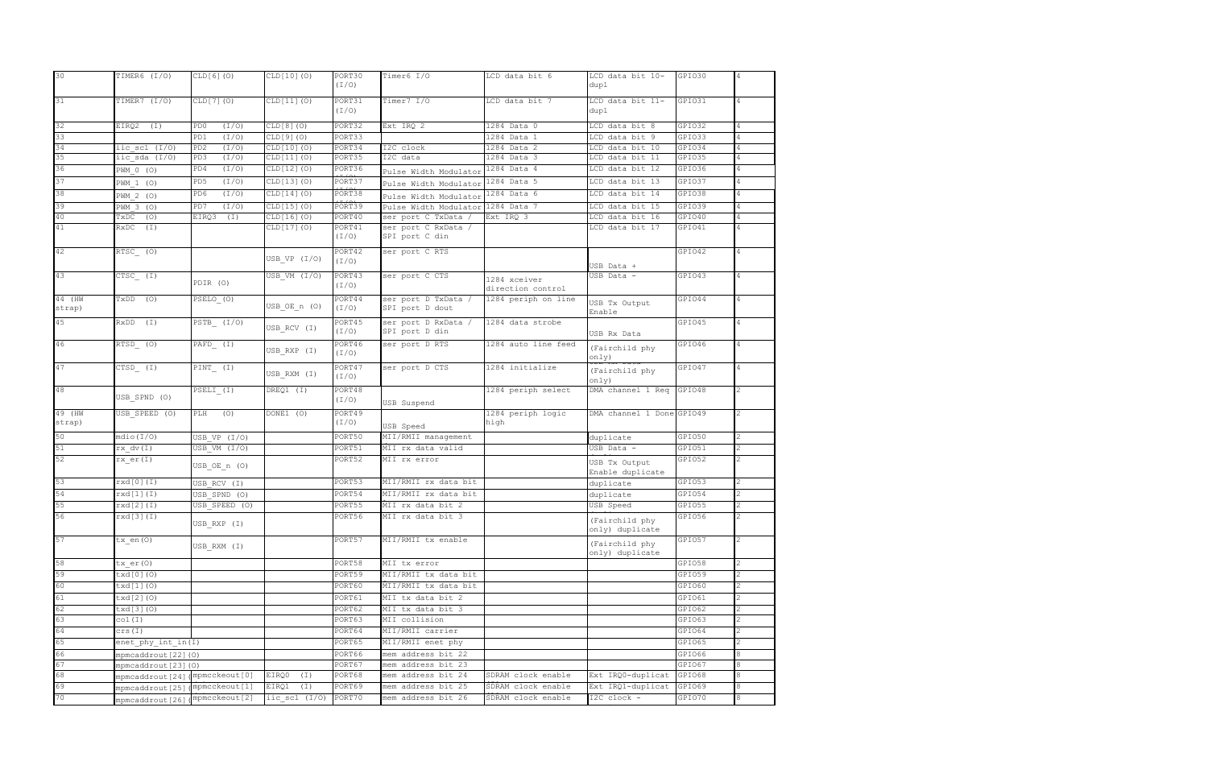| 30               | TIMER6 (I/O)                                             | CLD[6](0)                | CLD[10](0)        | PORT30<br>$(I/\mathcal{O})$ | Timer6 I/O                             | LCD data bit 6            | LCD data bit 10-<br>dupl          | GPIO30 | 4              |
|------------------|----------------------------------------------------------|--------------------------|-------------------|-----------------------------|----------------------------------------|---------------------------|-----------------------------------|--------|----------------|
|                  |                                                          |                          |                   |                             |                                        |                           |                                   |        |                |
| 31               | TIMER7 $(I/0)$                                           | CLD[7](0)                | CLD[11](0)        | PORT31<br>(I/O)             | Timer7 I/O                             | LCD data bit 7            | LCD data bit 11-<br>dupl          | GPIO31 | $\overline{4}$ |
| 32               | EIRQ2<br>$(\lceil )$                                     | (I/O)<br>PD0             | CLD[8](0)         | PORT32                      | Ext IRQ 2                              | 1284 Data 0               | LCD data bit 8                    | GPI032 |                |
| 33               |                                                          | (I/O)<br>PD1             | CLD[9](0)         | PORT33                      |                                        | 1284 Data 1               | LCD data bit 9                    | GPI033 |                |
| 34               | iic scl (I/O)                                            | (I/0)<br>PD <sub>2</sub> | CLD[10](0)        | PORT34                      | I2C clock                              | 1284 Data 2               | LCD data bit 10                   | GPI034 |                |
| 35               | iic sda (I/O)                                            | (I/O)<br>PD3             | CLD[11](0)        | PORT35                      | I2C data                               | 1284 Data 3               | LCD data bit 11                   | GPIO35 |                |
| 36               | PWM 0 (0)                                                | (I/0)<br>PD4             | CLD[12](0)        | PORT36                      | Pulse Width Modulator                  | 1284 Data 4               | LCD data bit 12                   | GPI036 | 4              |
| 37               | PWM 1 (O)                                                | (I/O)<br>PD5             | CLD[13](0)        | PORT37                      | Pulse Width Modulator                  | 1284 Data 5               | LCD data bit 13                   | GPI037 |                |
| 38               | PWM 2 (O)                                                | (I/0)<br>PD6             | CLD[14](0)        | PORT38                      | Pulse Width Modulator                  | 1284 Data 6               | LCD data bit 14                   | GPIO38 |                |
| 39               | PWM 3 (0)                                                | PD7<br>(I/O)             | CLD[15](0)        | PORT39                      | Pulse Width Modulator                  | 1284 Data 7               | LCD data bit 15                   | GPI039 |                |
| 40               | TxDC<br>(0)                                              | EIRQ3<br>(I)             | CLD[16](0)        | PORT40                      | ser port C TxData /                    | Ext IRQ 3                 | LCD data bit 16                   | GPIO40 |                |
| 41               | $RxDC$ $(I)$                                             |                          | CLD[17](0)        | PORT41                      | ser port C RxData /                    |                           | LCD data bit 17                   | GPIO41 | 4              |
|                  |                                                          |                          |                   | (I/O)                       | SPI port C din                         |                           |                                   |        |                |
| 42               | RTSC_(0)                                                 |                          | USB VP (I/O)      | PORT42<br>(I/O)             | ser port C RTS                         |                           | USB Data +                        | GPIO42 |                |
| 43               | $CTSC$ (I)                                               | PDIR (O)                 | USB VM (I/O)      | PORT43<br>(I/O)             | ser port C CTS                         | 1284 xceiver              | USB Data -                        | GPIO43 |                |
|                  |                                                          |                          |                   |                             |                                        | direction control         |                                   |        |                |
| 44 (HW<br>strap) | $TXDD$ (0)                                               | PSELO (O)                | USB OE n (O)      | PORT44<br>(I/O)             | ser port D TxData /<br>SPI port D dout | 1284 periph on line       | USB Tx Output<br>Enable           | GPIO44 | 4              |
| 45               | $RxDD$ $(I)$                                             | $PSTB$ $(I/O)$           | USB RCV (I)       | PORT45<br>(I/O)             | ser port D RxData /<br>SPI port D din  | 1284 data strobe          | USB Rx Data                       | GPIO45 | $\overline{4}$ |
| 46               | $RTSD$ (0)                                               | $\overline{PAFD}$ (I)    | USB RXP (I)       | PORT46<br>(I/O)             | ser port D RTS                         | 1284 auto line feed       | (Fairchild phy<br>only)           | GPIO46 | 4              |
| 47               | CTSD (I)                                                 | PINT (I)                 | USB_RXM (I)       | PORT47<br>(I/O)             | ser port D CTS                         | 1284 initialize           | (Fairchild phy<br>only)           | GPIO47 | 4              |
| 48               |                                                          | PSELI (I)                | DREQ1 (I)         | PORT48                      |                                        | 1284 periph select        | DMA channel 1 Req                 | GPIO48 |                |
|                  | USB SPND (O)                                             |                          |                   | $(I/\mathcal{O})$           | USB Suspend                            |                           |                                   |        |                |
| 49 (HW<br>strap) | USB SPEED (0)                                            | PLH<br>(0)               | DONE1 (O)         | PORT49<br>(I/O)             | USB Speed                              | 1284 periph logic<br>high | DMA channel 1 Done GPI049         |        |                |
| 50               | mdio(I/O)                                                | USB VP $(I/O)$           |                   | PORT50                      | MII/RMII management                    |                           | duplicate                         | GPIO50 |                |
| 51               | rx dv(I)                                                 | USB VM (I/O)             |                   | PORT51                      | MII rx data valid                      |                           | USB Data -                        | GPIO51 |                |
| 52               | rx er(I)                                                 |                          |                   | PORT52                      | MII rx error                           |                           |                                   | GPIO52 |                |
|                  |                                                          | USB OE n (O)             |                   |                             |                                        |                           | USB Tx Output<br>Enable duplicate |        |                |
| 53               | rxd[0](I)                                                | USB RCV (I)              |                   | PORT53                      | MII/RMII rx data bit                   |                           | duplicate                         | GPIO53 |                |
| 54               | rxd[1](I)                                                | USB SPND (O)             |                   | PORT54                      | MII/RMII rx data bit                   |                           | duplicate                         | GPIO54 |                |
| 55               | rxd[2](I)                                                | USB SPEED (0)            |                   | PORT55                      | MII rx data bit 2                      |                           | USB Speed                         | GPIO55 |                |
| 56               | rxd[3](I)                                                | USB RXP (I)              |                   | PORT56                      | MII rx data bit 3                      |                           | (Fairchild phy<br>only) duplicate | GPIO56 | 2              |
| 57               | tx en(O)                                                 | USB RXM (I)              |                   | PORT57                      | MII/RMII tx enable                     |                           | (Fairchild phy<br>only) duplicate | GPI057 |                |
| 58               | tx er(O)                                                 |                          |                   | PORT58                      | MII tx error                           |                           |                                   | GPIO58 |                |
| 59               | txd[0](0)                                                |                          |                   | PORT59                      | MII/RMII tx data bit                   |                           |                                   | GPIO59 |                |
| 60               | txd[1](0)                                                |                          |                   | PORT60                      | MII/RMII tx data bit                   |                           |                                   | GPIO60 | 2              |
| 61               | txd[2](0)                                                |                          |                   | PORT61                      | MII tx data bit 2                      |                           |                                   | GPIO61 |                |
| 62               | txd[3](0)                                                |                          |                   | PORT62                      | MII tx data bit 3                      |                           |                                   | GPIO62 |                |
| 63               | col(I)                                                   |                          |                   | PORT63                      | MII collision                          |                           |                                   | GPIO63 |                |
| 64               | crs(I)                                                   |                          |                   | PORT64                      | MII/RMII carrier                       |                           |                                   | GPIO64 |                |
| 65               |                                                          |                          |                   | PORT65                      | MII/RMII enet phy                      |                           |                                   | GPIO65 |                |
| 66               | enet_phy_int_in(I)                                       |                          |                   | PORT66                      | mem address bit 22                     |                           |                                   | GPIO66 |                |
| 67               | mpmcaddrout [22] (0)                                     |                          |                   | PORT67                      | mem address bit 23                     |                           |                                   | GPIO67 | 8              |
| 68               | mpmcaddrout [23] (O)<br>mpmcaddrout [24] (mpmcckeout [0] |                          | EIRQ0<br>$(\top)$ | PORT68                      | mem address bit 24                     | SDRAM clock enable        | Ext IRQ0-duplicat                 | GPIO68 | 8              |
| 69               |                                                          | (mpmcckeout [1]          | EIRQ1<br>(I)      | PORT69                      | mem address bit 25                     | SDRAM clock enable        | Ext IRQ1-duplicat                 | GPIO69 | 8              |
| 70               | mpmcaddrout [25]                                         |                          | iic $scl$ (I/0)   | PORT70                      | mem address bit 26                     | SDRAM clock enable        | I2C clock -                       | GPI070 | 8              |
|                  | mpmcaddrout [26] (mpmcckeout [2]                         |                          |                   |                             |                                        |                           |                                   |        |                |